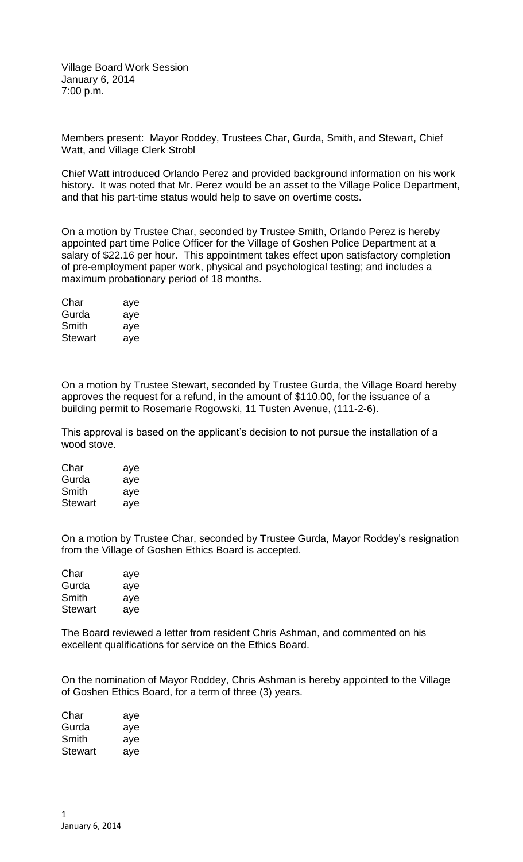Village Board Work Session January 6, 2014 7:00 p.m.

Members present: Mayor Roddey, Trustees Char, Gurda, Smith, and Stewart, Chief Watt, and Village Clerk Strobl

Chief Watt introduced Orlando Perez and provided background information on his work history. It was noted that Mr. Perez would be an asset to the Village Police Department, and that his part-time status would help to save on overtime costs.

On a motion by Trustee Char, seconded by Trustee Smith, Orlando Perez is hereby appointed part time Police Officer for the Village of Goshen Police Department at a salary of \$22.16 per hour. This appointment takes effect upon satisfactory completion of pre-employment paper work, physical and psychological testing; and includes a maximum probationary period of 18 months.

| Char    | aye |
|---------|-----|
| Gurda   | aye |
| Smith   | aye |
| Stewart | aye |

On a motion by Trustee Stewart, seconded by Trustee Gurda, the Village Board hereby approves the request for a refund, in the amount of \$110.00, for the issuance of a building permit to Rosemarie Rogowski, 11 Tusten Avenue, (111-2-6).

This approval is based on the applicant's decision to not pursue the installation of a wood stove.

| Char           | aye |
|----------------|-----|
| Gurda          | aye |
| Smith          | aye |
| <b>Stewart</b> | aye |

On a motion by Trustee Char, seconded by Trustee Gurda, Mayor Roddey's resignation from the Village of Goshen Ethics Board is accepted.

| Char    | aye |
|---------|-----|
| Gurda   | aye |
| Smith   | aye |
| Stewart | aye |

The Board reviewed a letter from resident Chris Ashman, and commented on his excellent qualifications for service on the Ethics Board.

On the nomination of Mayor Roddey, Chris Ashman is hereby appointed to the Village of Goshen Ethics Board, for a term of three (3) years.

| Char    | aye |
|---------|-----|
| Gurda   | aye |
| Smith   | aye |
| Stewart | aye |